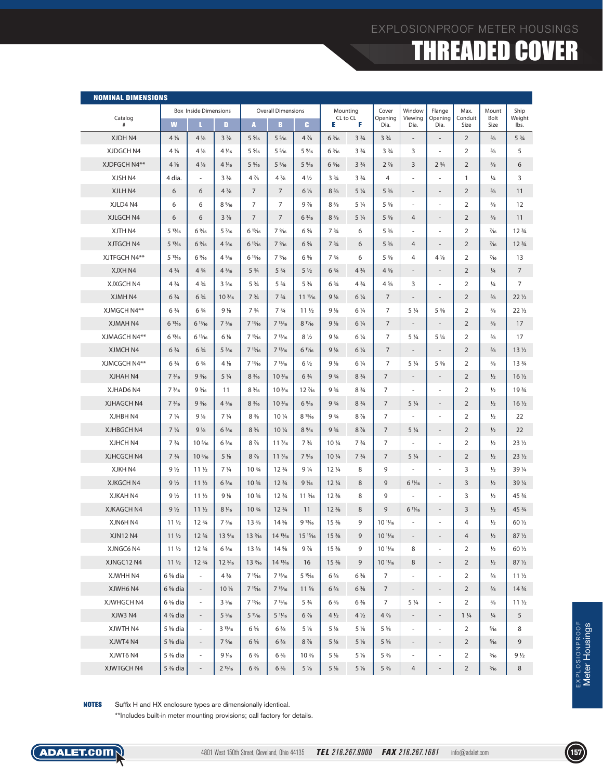### EXPLOSIONPROOF METER HOUSINGS

### THREADED COVER

| <b>NOMINAL DIMENSIONS</b> |                               |                                |                                 |                                |                                |                               |                                |                               |                                 |                          |                               |                 |                |                                |
|---------------------------|-------------------------------|--------------------------------|---------------------------------|--------------------------------|--------------------------------|-------------------------------|--------------------------------|-------------------------------|---------------------------------|--------------------------|-------------------------------|-----------------|----------------|--------------------------------|
| Catalog                   |                               | <b>Box Inside Dimensions</b>   |                                 | <b>Overall Dimensions</b>      |                                |                               | Mounting<br>CL to CL           |                               | Cover<br>Opening                | Window<br>Viewing        | Flange<br>Opening             | Max.<br>Conduit | Mount<br>Bolt  | Ship<br>Weight                 |
| #                         | W                             | п                              | $\blacksquare$                  | A                              | B                              | c.                            | Е                              | F                             | Dia.                            | Dia.                     | Dia.                          | Size            | Size           | lbs.                           |
| XJDH N4                   | $4\frac{1}{8}$                | $4\frac{1}{8}$                 | $3\frac{7}{8}$                  | $5\frac{5}{16}$                | $5\frac{5}{16}$                | $4\frac{7}{8}$                | $6\frac{3}{16}$                | 3 <sup>3</sup> / <sub>4</sub> | 3 <sup>3</sup> / <sub>4</sub>   | $\overline{\phantom{a}}$ | $\overline{\phantom{a}}$      | $\overline{2}$  | $\frac{3}{8}$  | 5 <sup>3</sup> / <sub>4</sub>  |
| XJDGCH N4                 | 4 %                           | $4\frac{1}{8}$                 | 4 1/16                          | $5\frac{5}{16}$                | $5\frac{5}{16}$                | 5%                            | $6\frac{3}{16}$                | 3 <sup>3</sup> / <sub>4</sub> | 3 <sup>3</sup> / <sub>4</sub>   | 3                        | $\sim$                        | $\overline{2}$  | $\frac{3}{8}$  | 5                              |
| XJDFGCH N4**              | $4\frac{1}{8}$                | $4\frac{1}{8}$                 | $4\frac{1}{6}$                  | $5\frac{5}{16}$                | $5\frac{5}{16}$                | 5%                            | $6\frac{3}{16}$                | 3 <sup>3</sup> / <sub>4</sub> | $2\frac{7}{8}$                  | 3                        | 2 <sup>3</sup> / <sub>4</sub> | $\overline{2}$  | $\frac{3}{8}$  | 6                              |
| XJSH N4                   | 4 dia.                        | ÷,                             | $3\frac{3}{8}$                  | $4\frac{7}{8}$                 | $4\frac{7}{8}$                 | $4\frac{1}{2}$                | 3 <sup>3</sup> / <sub>4</sub>  | 3 <sup>3</sup> / <sub>4</sub> | 4                               | ÷,                       |                               | $\mathbf{1}$    | $\frac{1}{4}$  | 3                              |
| XJLH N4                   | 6                             | 6                              | $4\frac{7}{8}$                  | $\overline{7}$                 | $\overline{7}$                 | $6\%$                         | $8\frac{3}{8}$                 | $5\frac{1}{4}$                | $5\frac{3}{8}$                  | $\frac{1}{2}$            | $\qquad \qquad \blacksquare$  | $\overline{2}$  | $\frac{3}{8}$  | 11                             |
| XJLD4 N4                  | 6                             | 6                              | 8%                              | 7                              | 7                              | $9\frac{7}{8}$                | $8\frac{3}{8}$                 | $5\frac{1}{4}$                | $5\frac{3}{8}$                  | ä,                       | ٠                             | $\overline{2}$  | $\frac{3}{8}$  | 12                             |
| XJLGCH N4                 | 6                             | 6                              | $3\frac{7}{8}$                  | $\overline{7}$                 | $\overline{7}$                 | $6\frac{3}{16}$               | $8\frac{3}{8}$                 | $5\frac{1}{4}$                | $5\frac{3}{8}$                  | $\overline{4}$           | $\overline{\phantom{a}}$      | $\overline{2}$  | $\frac{3}{8}$  | 11                             |
| XJTH N4                   | 513/16                        | 6%                             | $5\frac{7}{16}$                 | 613/16                         | 7%                             | $6\frac{5}{8}$                | 7 <sup>3</sup> / <sub>4</sub>  | 6                             | $5\frac{3}{8}$                  | ÷,                       | $\sim$                        | $\overline{2}$  | $\frac{7}{16}$ | 12 3/4                         |
| XJTGCH N4                 | 513/16                        | 6%                             | $4\frac{5}{16}$                 | 613/16                         | 7%                             | $6\frac{5}{8}$                | 7 <sup>3</sup> / <sub>4</sub>  | 6                             | $5\frac{3}{8}$                  | $\overline{4}$           | $\overline{\phantom{a}}$      | $\overline{2}$  | $\frac{7}{16}$ | 12 <sup>3</sup> / <sub>4</sub> |
| XJTFGCH N4**              | 513/16                        | 6%                             | $4\frac{5}{16}$                 | 613/16                         | 7%                             | $6\frac{5}{8}$                | 7 <sup>3</sup> / <sub>4</sub>  | 6                             | $5\frac{3}{8}$                  | 4                        | 4 %                           | $\overline{2}$  | $\frac{7}{16}$ | 13                             |
| XJXH N4                   | $4\frac{3}{4}$                | $4\frac{3}{4}$                 | $4\frac{3}{16}$                 | 5 <sup>3</sup> / <sub>4</sub>  | 5 <sup>3</sup> / <sub>4</sub>  | $5\frac{1}{2}$                | 63/4                           | $4\frac{3}{4}$                | $4\frac{5}{8}$                  | $\overline{a}$           | $\overline{\phantom{a}}$      | $\overline{2}$  | $\frac{1}{4}$  | $\overline{7}$                 |
| XJXGCH N4                 | $4 \frac{3}{4}$               | $4\frac{3}{4}$                 | $3\frac{5}{16}$                 | $5\frac{3}{4}$                 | 5 <sup>3</sup> / <sub>4</sub>  | $5\frac{3}{8}$                | $6\frac{3}{4}$                 | $4\frac{3}{4}$                | $4\frac{5}{8}$                  | 3                        | $\sim$                        | $\overline{2}$  | $\frac{1}{4}$  | $\overline{7}$                 |
| XJMH N4                   | 6 <sup>3</sup> / <sub>4</sub> | 6 <sup>3</sup> / <sub>4</sub>  | 10 <sup>3</sup> / <sub>16</sub> | 7 <sup>3</sup> / <sub>4</sub>  | 7 <sup>3</sup> / <sub>4</sub>  | $11^{11}/16$                  | $9\frac{1}{8}$                 | $6\frac{1}{4}$                | $\overline{7}$                  | $\overline{\phantom{a}}$ | $\overline{\phantom{a}}$      | $\overline{2}$  | $\frac{3}{8}$  | $22\frac{1}{2}$                |
| XJMGCH N4**               | 6 <sup>3</sup> / <sub>4</sub> | $6\frac{3}{4}$                 | 9 <sub>1</sub>                  | 7 <sup>3</sup> / <sub>4</sub>  | 73/4                           | 11 <sub>2</sub>               | $9\frac{1}{8}$                 | $6\frac{1}{4}$                | 7                               | $5\frac{1}{4}$           | $5\frac{3}{8}$                | $\overline{2}$  | $\frac{3}{8}$  | $22\frac{1}{2}$                |
| XJMAH N4                  | 613/16                        | 613/16                         | $7\frac{3}{16}$                 | 713/16                         | 713/16                         | $8\frac{11}{16}$              | $9\frac{1}{8}$                 | $6\frac{1}{4}$                | $\overline{7}$                  | $\overline{\phantom{a}}$ | $\overline{\phantom{a}}$      | $\overline{2}$  | $\frac{3}{8}$  | 17                             |
| XJMAGCH N4**              | 613/16                        | 613/16                         | 6 1/8                           | 713/16                         | 713/16                         | $8\frac{1}{2}$                | $9\frac{1}{8}$                 | $6\frac{1}{4}$                | 7                               | $5\frac{1}{4}$           | 5 1/4                         | $\overline{2}$  | $\frac{3}{8}$  | 17                             |
| XJMCH N4                  | $6\frac{3}{4}$                | 6 <sup>3</sup> / <sub>4</sub>  | $5\frac{3}{16}$                 | 713/16                         | 713/16                         | $61\frac{1}{6}$               | $9\frac{1}{8}$                 | $6\frac{1}{4}$                | $\overline{7}$                  | $\overline{\phantom{a}}$ | $\overline{\phantom{a}}$      | $\overline{2}$  | $\frac{3}{8}$  | 13 <sub>2</sub>                |
| XJMCGCH N4**              | $6\frac{3}{4}$                | $6\frac{3}{4}$                 | $4\frac{1}{8}$                  | 713/16                         | 713/16                         | $6\frac{1}{2}$                | $9\frac{1}{8}$                 | $6\frac{1}{4}$                | 7                               | $5\frac{1}{4}$           | $5\frac{3}{8}$                | $\overline{2}$  | $\frac{3}{8}$  | 13 3/4                         |
| XJHAH N4                  | $7\frac{3}{16}$               | 9 <sup>3</sup> / <sub>16</sub> | $5\frac{1}{4}$                  | $8\frac{3}{16}$                | $10\frac{3}{16}$               | $6\frac{3}{4}$                | 9 <sup>3</sup> / <sub>4</sub>  | 8 <sup>3</sup> / <sub>4</sub> | $\overline{7}$                  | $\overline{\phantom{a}}$ | $\overline{\phantom{a}}$      | $\overline{2}$  | $\frac{1}{2}$  | $16\frac{1}{2}$                |
| XJHAD6 N4                 | $7\frac{3}{16}$               | 9 <sup>3</sup> / <sub>16</sub> | 11                              | $8\frac{3}{16}$                | 10 3/16                        | 12 1/16                       | 9 <sup>3</sup> / <sub>4</sub>  | 8 <sup>3</sup> / <sub>4</sub> | 7                               | ٠                        | $\sim$                        | $\overline{2}$  | $\frac{1}{2}$  | 19 3/4                         |
| XJHAGCH N4                | $7\frac{3}{16}$               | $9\frac{3}{16}$                | $4\frac{3}{16}$                 | $8\frac{3}{16}$                | $10\frac{3}{16}$               | 6%                            | 9 <sup>3</sup> / <sub>4</sub>  | 8 <sup>3</sup> / <sub>4</sub> | $\overline{7}$                  | $5\frac{1}{4}$           | $\overline{\phantom{a}}$      | $\overline{2}$  | $\frac{1}{2}$  | $16\frac{1}{2}$                |
| XJHBH N4                  | $7\frac{1}{4}$                | $9\frac{1}{8}$                 | $7\frac{1}{4}$                  | $8\frac{3}{8}$                 | 10 1/4                         | 813/16                        | 9 <sup>3</sup> / <sub>4</sub>  | $8\frac{7}{8}$                | 7                               | ä,                       | $\sim$                        | $\overline{2}$  | $\frac{1}{2}$  | 22                             |
| XJHBGCH N4                | $7\frac{1}{4}$                | $9\frac{1}{8}$                 | $6\frac{3}{16}$                 | $8\frac{3}{8}$                 | 10 1/4                         | 8%                            | 9 <sup>3</sup> / <sub>4</sub>  | $8\frac{7}{8}$                | $\overline{7}$                  | $5\frac{1}{4}$           | $\overline{\phantom{a}}$      | $\overline{2}$  | $\frac{1}{2}$  | 22                             |
| XJHCH N4                  | 7 <sup>3</sup> / <sub>4</sub> | 10 %                           | $6\frac{3}{16}$                 | $8\frac{7}{8}$                 | 11 %                           | 7 <sup>3</sup> / <sub>4</sub> | 10 1/4                         | 7 <sup>3</sup> / <sub>4</sub> | $\overline{7}$                  | ٠                        | $\sim$                        | $\overline{2}$  | $\frac{1}{2}$  | $23\frac{1}{2}$                |
| XJHCGCH N4                | 73/4                          | 10 %                           | $5\frac{1}{8}$                  | $8\frac{7}{8}$                 | 11 7/16                        | 7%                            | 10 1/4                         | 7 <sup>3</sup> / <sub>4</sub> | $\overline{7}$                  | $5\frac{1}{4}$           | $\overline{\phantom{a}}$      | $\overline{2}$  | $\frac{1}{2}$  | $23\frac{1}{2}$                |
| XJKH N4                   | 9 <sub>1/2</sub>              | 11 <sub>2</sub>                | 7 <sup>1</sup> / <sub>4</sub>   | 10 3/4                         | 12 <sup>3</sup> / <sub>4</sub> | $9\frac{1}{4}$                | 12 1/4                         | 8                             | 9                               |                          |                               | 3               | $\frac{1}{2}$  | 39 1/4                         |
| XJKGCH N4                 | 9 <sub>1/2</sub>              | 11 <sub>2</sub>                | $6\frac{3}{16}$                 | 10 <sup>3</sup> / <sub>4</sub> | 12 <sup>3</sup> / <sub>4</sub> | $9\frac{1}{6}$                | $12\frac{1}{4}$                | 8                             | 9                               | $6\frac{11}{16}$         | $\overline{\phantom{a}}$      | 3               | $\frac{1}{2}$  | 39 1/4                         |
| <b>XJKAH N4</b>           | 9 <sub>1/2</sub>              | 11 <sub>2</sub>                | $9\frac{1}{8}$                  | 10 3/4                         | 12 3/4                         | 11 3/16                       | $12\frac{3}{8}$                | 8                             | 9                               |                          | $\sim$                        | 3               | $\frac{1}{2}$  | 45 3/4                         |
| <b>XJKAGCH N4</b>         | 9 <sub>1/2</sub>              | 11 <sub>2</sub>                | $8\frac{1}{6}$                  | 10 <sup>3</sup> / <sub>4</sub> | 12 <sup>3</sup> / <sub>4</sub> | 11                            | $12\frac{3}{8}$                | 8                             | 9                               | $6\frac{11}{16}$         | $\overline{a}$                | 3               | $\frac{1}{2}$  | 45 3/4                         |
| XJN6H N4                  | 11 <sub>2</sub>               | 12 <sup>3</sup> / <sub>4</sub> | $7\frac{7}{16}$                 | $13\frac{3}{8}$                | $14\frac{5}{8}$                | 913/16                        | 15 <sup>3</sup> / <sub>8</sub> | 9                             | 10 <sup>1</sup> / <sub>16</sub> |                          | ä,                            | $\overline{4}$  | $\frac{1}{2}$  | 60 1/2                         |
| <b>XJN12 N4</b>           | $11\frac{1}{2}$               | 12 <sup>3</sup> / <sub>4</sub> | 13 %                            | 13 %                           | $14^{13}/16$                   | $15\frac{15}{16}$             | $15\frac{3}{8}$                | 9                             | $10\frac{11}{16}$               |                          |                               | 4               | $1/2$          | $87\frac{1}{2}$                |
| XJNGC6 N4                 | $11\frac{1}{2}$               | 12 <sup>3</sup> / <sub>4</sub> | $6\frac{3}{16}$                 | $13\frac{3}{8}$                | $14\frac{5}{8}$                | $9\frac{7}{8}$                | $15\frac{3}{8}$                | 9                             | $10\frac{11}{6}$                | 8                        | $\overline{\phantom{a}}$      | 2               | ½              | $60\frac{1}{2}$                |
| XJNGC12 N4                | $11\frac{1}{2}$               | 12 <sup>3</sup> / <sub>4</sub> | $12\frac{5}{16}$                | 13 %                           | $14^{13}/16$                   | 16                            | $15\frac{3}{8}$                | 9                             | $10\frac{11}{16}$               | 8                        | $\overline{\phantom{a}}$      | $\overline{2}$  | $\frac{1}{2}$  | $87\frac{1}{2}$                |
| XJWHH N4                  | $6\%$ dia                     | $\overline{\phantom{a}}$       | $4\frac{3}{8}$                  | 715/16                         | 715/16                         | $5 \frac{15}{16}$             | $6\frac{3}{8}$                 | $6\frac{3}{8}$                | 7                               | $\overline{\phantom{a}}$ | $\overline{\phantom{a}}$      | 2               | $\frac{3}{8}$  | $11\frac{1}{2}$                |
| XJWH6 N4                  | $6\%$ dia                     | $\sim$                         | $10\%$                          | 715/16                         | 715/16                         | $11\frac{5}{8}$               | $6\frac{3}{8}$                 | $6\frac{3}{8}$                | $\overline{7}$                  | $\overline{\phantom{a}}$ | $\overline{\phantom{a}}$      | $\overline{2}$  | $\frac{3}{8}$  | $14\frac{3}{4}$                |
| XJWHGCH N4                | $6\%$ dia                     | $\sim$                         | $3\frac{5}{16}$                 | 715/16                         | 715/16                         | $5\frac{3}{4}$                | $6\frac{3}{8}$                 | $6\frac{3}{8}$                | 7                               | $5\frac{1}{4}$           | $\sim$                        | 2               | $\frac{3}{8}$  | 11 <sub>2</sub>                |
| XJW3 N4                   | $4\%$ dia                     | ÷                              | $5\frac{5}{16}$                 | $5 \frac{11}{16}$              | $5 \frac{11}{16}$              | $6\frac{7}{8}$                | $4\frac{1}{2}$                 | $4\frac{1}{2}$                | $4\frac{7}{8}$                  | $\overline{\phantom{a}}$ | $\overline{\phantom{a}}$      | $1\frac{1}{4}$  | $\frac{1}{4}$  | 5                              |
| XJWTH N4                  | $5\frac{3}{8}$ dia            | $\overline{\phantom{a}}$       | $3^{13}/16$                     | $6\frac{3}{8}$                 | $6\frac{3}{8}$                 | $5\%$                         | 5 %                            | 5 %                           | $5\frac{3}{8}$                  | $\overline{\phantom{a}}$ | $\overline{\phantom{a}}$      | 2               | $\frac{5}{16}$ | 8                              |
| XJWT4 N4                  | $5\%$ dia                     | $\sim$                         | $7\frac{9}{16}$                 | $6\frac{3}{8}$                 | $6\frac{3}{8}$                 | $8\frac{7}{8}$                | $5\frac{1}{8}$                 | $5\%$                         | $5\frac{3}{8}$                  | $\overline{\phantom{a}}$ | $\overline{\phantom{a}}$      | $\overline{2}$  | $\frac{5}{16}$ | 9                              |
| XJWT6N4                   | $5\frac{3}{8}$ dia            | $\overline{\phantom{a}}$       | 9 1/16                          | $6\frac{3}{8}$                 | $6\frac{3}{8}$                 | $10\frac{3}{8}$               | 5 %                            | $5\frac{1}{8}$                | $5\frac{3}{8}$                  | ٠                        | $\overline{\phantom{a}}$      | 2               | $\frac{5}{16}$ | 9 <sub>1/2</sub>               |
| XJWTGCH N4                | $5\%$ dia                     | $\overline{\phantom{a}}$       | $2^{15/16}$                     | $6\frac{3}{8}$                 | $6\frac{3}{8}$                 | $5\frac{1}{8}$                | $5\%$                          | $5\frac{1}{8}$                | $5\frac{3}{8}$                  | $\overline{4}$           | $\overline{\phantom{a}}$      | $\overline{2}$  | $\frac{5}{16}$ | 8                              |

 Suffix H and HX enclosure types are dimensionally identical. NOTES

 \*\*Includes built-in meter mounting provisions; call factory for details.

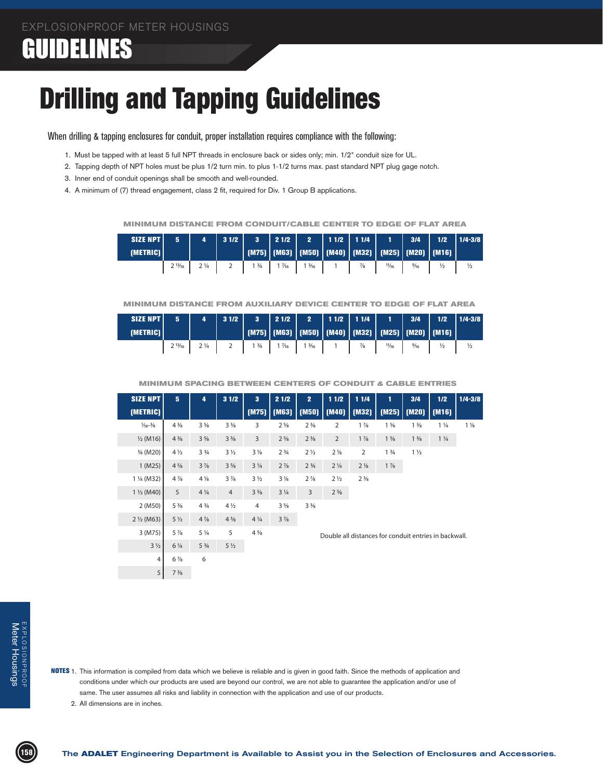# Drilling and Tapping Guidelines

When drilling & tapping enclosures for conduit, proper installation requires compliance with the following:

- 1. Must be tapped with at least 5 full NPT threads in enclosure back or sides only; min. 1/2" conduit size for UL.
- 2. Tapping depth of NPT holes must be plus 1/2 turn min. to plus 1-1/2 turns max. past standard NPT plug gage notch.
- 3. Inner end of conduit openings shall be smooth and well-rounded.
- 4. A minimum of (7) thread engagement, class 2 fit, required for Div. 1 Group B applications.

 **MINIMUM DISTANCE FROM CONDUIT/CABLE CENTER TO EDGE OF FLAT AREA**

| SIZE NPT | 5                   | 4              | 31/2 | $\overline{\mathbf{3}}$ | 21/2  | 2     | $11/2$ 11/4 |                                                               |       | 3/4            | $1/2$         | $1/4 - 3/8$   |
|----------|---------------------|----------------|------|-------------------------|-------|-------|-------------|---------------------------------------------------------------|-------|----------------|---------------|---------------|
| (METRIC) |                     |                |      |                         |       |       |             | (M75)   (M63)   (M50)   (M40)   (M32)   (M25)   (M20)   (M16) |       |                |               |               |
|          | າ 13/ <sub>16</sub> | $2\frac{1}{4}$ |      | 13/4                    | .7/16 | 13/16 |             | $\frac{7}{8}$                                                 | 11/16 | $\frac{9}{16}$ | $\frac{1}{2}$ | $\frac{1}{2}$ |

#### **MINIMUM DISTANCE FROM AUXILIARY DEVICE CENTER TO EDGE OF FLAT AREA**

| SIZE NPT<br>(METRIC) | 5      |                | 31/2 | $\overline{\mathbf{3}}$ | $\begin{array}{c c c c c} \hline 2 & 1/2 & \end{array}$ | $\overline{2}$ |               |       | 3/4            | 1/2<br>   (M75)   (M63)   (M50)   (M40)   (M32)   (M25)   (M20)   (M16)   <sup> </sup> | $1/4 - 3/8$   |
|----------------------|--------|----------------|------|-------------------------|---------------------------------------------------------|----------------|---------------|-------|----------------|----------------------------------------------------------------------------------------|---------------|
|                      | 213/16 | $2\frac{1}{4}$ |      | 13/4                    | $\frac{1}{16}$                                          | 13/16          | $\frac{7}{8}$ | 11/16 | $\frac{9}{16}$ | $\frac{1}{2}$                                                                          | $\frac{1}{2}$ |

 **MINIMUM SPACING BETWEEN CENTERS OF CONDUIT & CABLE ENTRIES**

| <b>SIZE NPT</b>             | 5 <sub>5</sub> | 4                             | 31/2           | 3 <sup>2</sup> | 21/2                          | 2 <sup>1</sup>                | 11/2                                                  | 1 1/4          | 1               | 3/4                     | 1/2            | $1/4 - 3/8$    |  |  |
|-----------------------------|----------------|-------------------------------|----------------|----------------|-------------------------------|-------------------------------|-------------------------------------------------------|----------------|-----------------|-------------------------|----------------|----------------|--|--|
| [METRIC]                    |                |                               |                | (M75)          | (M63)                         |                               | (M50)   (M40)   (M32)                                 |                |                 | $(M25)$ $(M20)$ $(M16)$ |                |                |  |  |
| $\frac{1}{6} - \frac{3}{8}$ | $4\frac{3}{8}$ | $3\frac{5}{8}$                | $3\frac{3}{8}$ | 3              | $2\frac{5}{8}$                | $2\frac{3}{8}$                | 2                                                     | $1\frac{7}{8}$ | $1\frac{5}{8}$  | $1\frac{3}{8}$          | $1\frac{1}{4}$ | $1\frac{1}{8}$ |  |  |
| $\frac{1}{2}$ (M16)         | $4\frac{3}{8}$ | $3\frac{5}{8}$                | $3\frac{3}{8}$ | $\overline{3}$ | $2\frac{5}{8}$                | $2\frac{3}{8}$                | $\overline{2}$                                        | $1\frac{7}{8}$ | $1\frac{5}{8}$  | $1\frac{3}{8}$          | $1\frac{1}{4}$ |                |  |  |
| 3/ <sub>4</sub> (M20)       | $4\frac{1}{2}$ | 3 <sup>3</sup> / <sub>4</sub> | $3\frac{1}{2}$ | $3\frac{1}{8}$ | 2 <sup>3</sup> / <sub>4</sub> | $2\frac{1}{2}$                | $2\frac{1}{8}$                                        | $\overline{2}$ | $1 \frac{3}{4}$ | $1\frac{1}{2}$          |                |                |  |  |
| 1(M25)                      | $4\frac{5}{8}$ | $3\frac{7}{8}$                | $3\frac{5}{8}$ | $3\frac{1}{4}$ | $2\frac{7}{8}$                | 2 <sup>3</sup> / <sub>4</sub> | $2\frac{1}{4}$                                        | $2\frac{1}{8}$ | $1\frac{7}{8}$  |                         |                |                |  |  |
| 1 ¼ (M32)                   | $4\frac{7}{8}$ | $4\frac{1}{8}$                | $3\frac{7}{8}$ | $3\frac{1}{2}$ | $3\frac{1}{8}$                | $2\frac{7}{8}$                | $2\frac{1}{2}$                                        | $2\frac{3}{8}$ |                 |                         |                |                |  |  |
| $1\frac{1}{2}$ (M40)        | 5              | $4\frac{1}{4}$                | $\overline{4}$ | $3\frac{5}{8}$ | $3\frac{1}{4}$                | 3                             | $2\frac{5}{8}$                                        |                |                 |                         |                |                |  |  |
| 2 (M50)                     | $5\frac{3}{8}$ | $4\frac{3}{4}$                | $4\frac{1}{2}$ | 4              | $3\frac{5}{8}$                | $3\frac{3}{8}$                |                                                       |                |                 |                         |                |                |  |  |
| $2\frac{1}{2}$ (M63)        | $5\frac{1}{2}$ | $4\frac{7}{8}$                | $4\frac{5}{8}$ | $4\frac{1}{4}$ | $3\frac{7}{8}$                |                               |                                                       |                |                 |                         |                |                |  |  |
| 3 (M75)                     | $5\frac{7}{8}$ | $5\frac{1}{4}$                | 5              | $4\frac{5}{8}$ |                               |                               | Double all distances for conduit entries in backwall. |                |                 |                         |                |                |  |  |
| $3\frac{1}{2}$              | $6\frac{1}{4}$ | $5\frac{3}{4}$                | $5\frac{1}{2}$ |                |                               |                               |                                                       |                |                 |                         |                |                |  |  |
| 4                           | $6\frac{7}{8}$ | 6                             |                |                |                               |                               |                                                       |                |                 |                         |                |                |  |  |
| 5 <sup>1</sup>              | $7\frac{3}{8}$ |                               |                |                |                               |                               |                                                       |                |                 |                         |                |                |  |  |

- NOTES 1. This information is compiled from data which we believe is reliable and is given in good faith. Since the methods of application and conditions under which our products are used are beyond our control, we are not able to guarantee the application and/or use of same. The user assumes all risks and liability in connection with the application and use of our products.
	- 2. All dimensions are in inches.